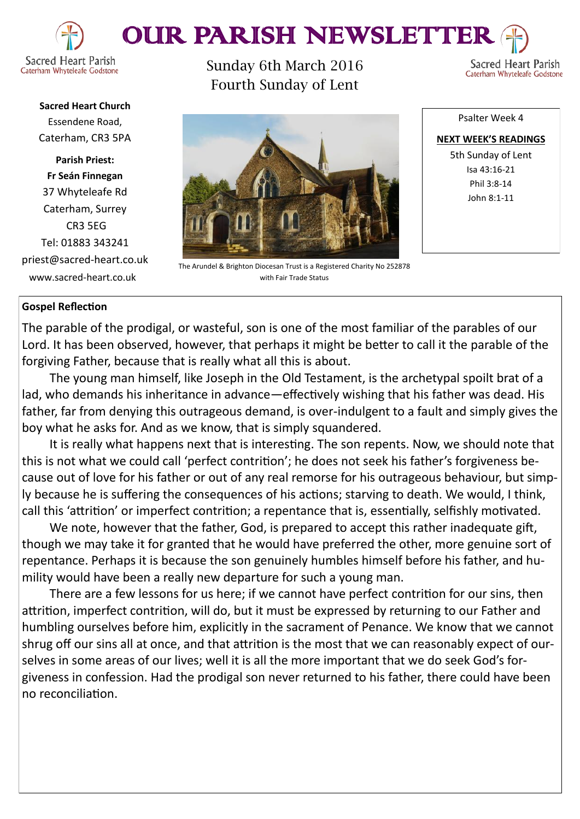



**Sacred Heart Church** Essendene Road, Caterham, CR3 5PA

**Parish Priest: Fr Seán Finnegan** 37 Whyteleafe Rd Caterham, Surrey CR3 5EG Tel: 01883 343241 priest@sacred-heart.co.uk www.sacred-heart.co.uk

Sunday 6th March 2016 Fourth Sunday of Lent



Sacred Heart Parish

Caterham Whyteleafe Godstone

The Arundel & Brighton Diocesan Trust is a Registered Charity No 252878 with Fair Trade Status

# **Gospel Reflection**

The parable of the prodigal, or wasteful, son is one of the most familiar of the parables of our Lord. It has been observed, however, that perhaps it might be better to call it the parable of the forgiving Father, because that is really what all this is about.

The young man himself, like Joseph in the Old Testament, is the archetypal spoilt brat of a lad, who demands his inheritance in advance—effectively wishing that his father was dead. His father, far from denying this outrageous demand, is over-indulgent to a fault and simply gives the boy what he asks for. And as we know, that is simply squandered.

It is really what happens next that is interesting. The son repents. Now, we should note that this is not what we could call 'perfect contrition'; he does not seek his father's forgiveness because out of love for his father or out of any real remorse for his outrageous behaviour, but simply because he is suffering the consequences of his actions; starving to death. We would, I think, call this 'attrition' or imperfect contrition; a repentance that is, essentially, selfishly motivated.

We note, however that the father, God, is prepared to accept this rather inadequate gift, though we may take it for granted that he would have preferred the other, more genuine sort of repentance. Perhaps it is because the son genuinely humbles himself before his father, and humility would have been a really new departure for such a young man.

There are a few lessons for us here; if we cannot have perfect contrition for our sins, then attrition, imperfect contrition, will do, but it must be expressed by returning to our Father and humbling ourselves before him, explicitly in the sacrament of Penance. We know that we cannot shrug off our sins all at once, and that attrition is the most that we can reasonably expect of ourselves in some areas of our lives; well it is all the more important that we do seek God's forgiveness in confession. Had the prodigal son never returned to his father, there could have been no reconciliation.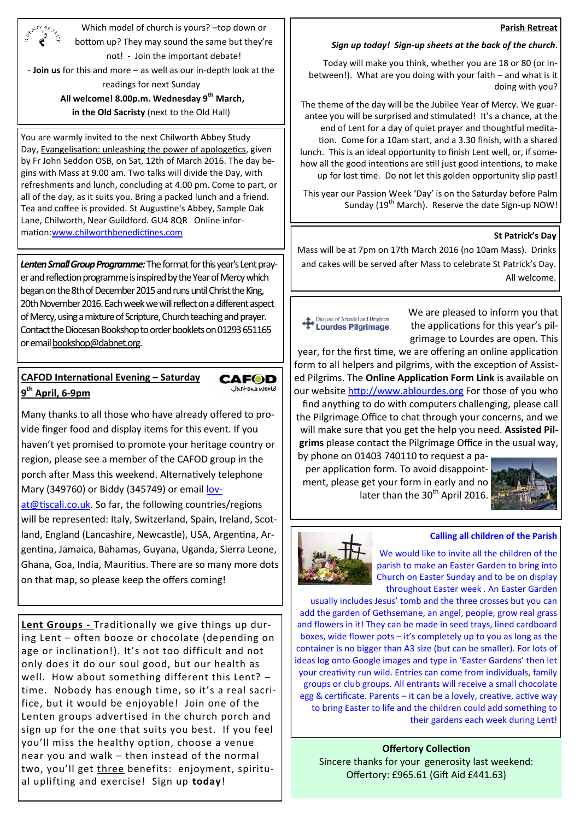#### **Parish Retreat**

Which model of church is yours? –top down or bottom up? They may sound the same but they're not! - Join the important debate!

- **Join us** for this and more – as well as our in-depth look at the readings for next Sunday

#### **All welcome! 8.00p.m. Wednesday 9th March,**

**in the Old Sacristy** (next to the Old Hall)

You are warmly invited to the next Chilworth Abbey Study Day, Evangelisation: unleashing the power of apologetics, given by Fr John Seddon OSB, on Sat, 12th of March 2016. The day begins with Mass at 9.00 am. Two talks will divide the Day, with refreshments and lunch, concluding at 4.00 pm. Come to part, or all of the day, as it suits you. Bring a packed lunch and a friend. Tea and coffee is provided. St Augustine's Abbey, Sample Oak Lane, Chilworth, Near Guildford. GU4 8QR Online information:<u>www.chilworthbenedictines.com</u> **St Patrick's Day St Patrick's Day** 

*Lenten Small Group Programme:*The format for this year's Lent prayer and reflection programme is inspired by the Year of Mercy which began on the 8th of December 2015 and runs until Christ the King, 20th November 2016. Each week we will reflect on a different aspect of Mercy, using a mixture of Scripture, Church teaching and prayer. Contact the Diocesan Bookshop to order booklets on 01293 651165 or email [bookshop@dabnet.org.](mailto:bookshop@dabnet.org?subject=Lenten%20Small%20Group%20booklets)

# **CAFOD International Evening – Saturday 9 th April, 6-9pm**

Many thanks to all those who have already offered to provide finger food and display items for this event. If you haven't yet promised to promote your heritage country or region, please see a member of the CAFOD group in the porch after Mass this weekend. Alternatively telephone Mary (349760) or Biddy (345749) or email [lov-](mailto:lovat@tiscali.co.uk)

**CAFOD** lustoneworld

[at@tiscali.co.uk.](mailto:lovat@tiscali.co.uk) So far, the following countries/regions will be represented: Italy, Switzerland, Spain, Ireland, Scotland, England (Lancashire, Newcastle), USA, Argentina, Argentina, Jamaica, Bahamas, Guyana, Uganda, Sierra Leone, Ghana, Goa, India, Mauritius. There are so many more dots on that map, so please keep the offers coming!

**Lent Groups -** Traditionally we give things up during Lent – often booze or chocolate (depending on age or inclination!). It's not too difficult and not only does it do our soul good, but our health as well. How about something different this Lent? – time. Nobody has enough time, so it's a real sacrifice, but it would be enjoyable! Join one of the Lenten groups advertised in the church porch and sign up for the one that suits you best. If you feel you'll miss the healthy option, choose a venue near you and walk – then instead of the normal two, you'll get three benefits: enjoyment, spiritual uplifting and exercise! Sign up **today**!

## *Sign up today! Sign-up sheets at the back of the church*.

Today will make you think, whether you are 18 or 80 (or inbetween!). What are you doing with your faith – and what is it doing with you?

The theme of the day will be the Jubilee Year of Mercy. We guarantee you will be surprised and stimulated! It's a chance, at the end of Lent for a day of quiet prayer and thoughtful meditation. Come for a 10am start, and a 3.30 finish, with a shared lunch. This is an ideal opportunity to finish Lent well, or, if somehow all the good intentions are still just good intentions, to make up for lost time. Do not let this golden opportunity slip past!

This year our Passion Week 'Day' is on the Saturday before Palm Sunday (19<sup>th</sup> March). Reserve the date Sign-up NOW!

Mass will be at 7pm on 17th March 2016 (no 10am Mass). Drinks and cakes will be served after Mass to celebrate St Patrick's Day. All welcome.

#### Diocese of Arundel and Brighton Lourdes Pilgrimage

We are pleased to inform you that the applications for this year's pilgrimage to Lourdes are open. This

year, for the first time, we are offering an online application form to all helpers and pilgrims, with the exception of Assisted Pilgrims. The **Online Application Form Link** is available on our website<http://www.ablourdes.org> For those of you who find anything to do with computers challenging, please call the Pilgrimage Office to chat through your concerns, and we will make sure that you get the help you need. **Assisted Pilgrims** please contact the Pilgrimage Office in the usual way,

by phone on 01403 740110 to request a paper application form. To avoid disappointment, please get your form in early and no later than the  $30<sup>th</sup>$  April 2016.



#### **Calling all children of the Parish**

We would like to invite all the children of the parish to make an Easter Garden to bring into Church on Easter Sunday and to be on display throughout Easter week . An Easter Garden

usually includes Jesus' tomb and the three crosses but you can add the garden of Gethsemane, an angel, people, grow real grass and flowers in it! They can be made in seed trays, lined cardboard boxes, wide flower pots – it's completely up to you as long as the container is no bigger than A3 size (but can be smaller). For lots of ideas log onto Google images and type in 'Easter Gardens' then let your creativity run wild. Entries can come from individuals, family groups or club groups. All entrants will receive a small chocolate egg & certificate. Parents – it can be a lovely, creative, active way to bring Easter to life and the children could add something to their gardens each week during Lent!

#### **Offertory Collection** Sincere thanks for your generosity last weekend: Offertory: £965.61 (Gift Aid £441.63)

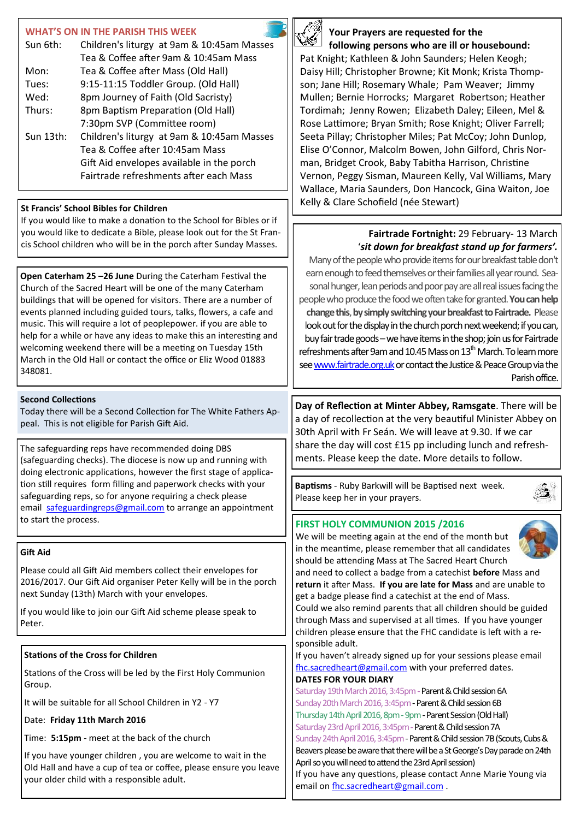## **WHAT'S ON IN THE PARISH THIS WEEK**

| Sun 6th:  | Children's liturgy at 9am & 10:45am Masses |
|-----------|--------------------------------------------|
|           | Tea & Coffee after 9am & 10:45am Mass      |
| Mon:      | Tea & Coffee after Mass (Old Hall)         |
| Tues:     | 9:15-11:15 Toddler Group. (Old Hall)       |
| Wed:      | 8pm Journey of Faith (Old Sacristy)        |
| Thurs:    | 8pm Baptism Preparation (Old Hall)         |
|           | 7:30pm SVP (Committee room)                |
| Sun 13th: | Children's liturgy at 9am & 10:45am Masses |
|           | Tea & Coffee after 10:45am Mass            |
|           | Gift Aid envelopes available in the porch  |
|           | Fairtrade refreshments after each Mass     |

## **St Francis' School Bibles for Children**

If you would like to make a donation to the School for Bibles or if you would like to dedicate a Bible, please look out for the St Francis School children who will be in the porch after Sunday Masses.

**Open Caterham 25 –26 June** During the Caterham Festival the Church of the Sacred Heart will be one of the many Caterham buildings that will be opened for visitors. There are a number of events planned including guided tours, talks, flowers, a cafe and music. This will require a lot of peoplepower. if you are able to help for a while or have any ideas to make this an interesting and welcoming weekend there will be a meeting on Tuesday 15th March in the Old Hall or contact the office or Eliz Wood 01883 348081.

## **Second Collections**

Today there will be a Second Collection for The White Fathers Appeal. This is not eligible for Parish Gift Aid.

The safeguarding reps have recommended doing DBS (safeguarding checks). The diocese is now up and running with doing electronic applications, however the first stage of application still requires form filling and paperwork checks with your safeguarding reps, so for anyone requiring a check please email [safeguardingreps@gmail.com](mailto:safeguardingreps@gmail.com) to arrange an appointment to start the process.

## **Gift Aid**

Please could all Gift Aid members collect their envelopes for 2016/2017. Our Gift Aid organiser Peter Kelly will be in the porch next Sunday (13th) March with your envelopes.

If you would like to join our Gift Aid scheme please speak to Peter.

## **Stations of the Cross for Children**

Stations of the Cross will be led by the First Holy Communion Group.

It will be suitable for all School Children in Y2 - Y7

Date: **Friday 11th March 2016**

Time: **5:15pm** - meet at the back of the church

If you have younger children , you are welcome to wait in the Old Hall and have a cup of tea or coffee, please ensure you leave your older child with a responsible adult.



## **Your Prayers are requested for the following persons who are ill or housebound:**

Pat Knight; Kathleen & John Saunders; Helen Keogh; Daisy Hill; Christopher Browne; Kit Monk; Krista Thompson; Jane Hill; Rosemary Whale; Pam Weaver; Jimmy Mullen; Bernie Horrocks; Margaret Robertson; Heather Tordimah; Jenny Rowen; Elizabeth Daley; Eileen, Mel & Rose Lattimore; Bryan Smith; Rose Knight; Oliver Farrell; Seeta Pillay; Christopher Miles; Pat McCoy; John Dunlop, Elise O'Connor, Malcolm Bowen, John Gilford, Chris Norman, Bridget Crook, Baby Tabitha Harrison, Christine Vernon, Peggy Sisman, Maureen Kelly, Val Williams, Mary Wallace, Maria Saunders, Don Hancock, Gina Waiton, Joe Kelly & Clare Schofield (née Stewart)

# **Fairtrade Fortnight:** 29 February- 13 March '*sit down for breakfast stand up for farmers'.*

Many of the people who provide items for our breakfast table don't earn enough to feed themselves or their families all year round. Seasonal hunger, lean periods and poor pay are all real issues facing the people who produce the food we often take for granted.**You can help change this**, **by simply switching your breakfast to Fairtrade.** Please look out for the display in the church porch next weekend; if you can, buy fair trade goods –we have items in the shop; join us for Fairtrade refreshments after 9am and 10.45 Mass on  $13<sup>th</sup>$  March. To learn more see [www.fairtrade.org.uk](http://www.fairtrade.org.uk) or contact the Justice & Peace Group via the Parish office.

**Day of Reflection at Minter Abbey, Ramsgate**. There will be a day of recollection at the very beautiful Minister Abbey on 30th April with Fr Seán. We will leave at 9.30. If we car share the day will cost £15 pp including lunch and refreshments. Please keep the date. More details to follow.

**Baptisms** - Ruby Barkwill will be Baptised next week. Please keep her in your prayers.



We will be meeting again at the end of the month but in the meantime, please remember that all candidates should be attending Mass at The Sacred Heart Church



and need to collect a badge from a catechist **before** Mass and **return** it after Mass. **If you are late for Mass** and are unable to get a badge please find a catechist at the end of Mass. Could we also remind parents that all children should be guided through Mass and supervised at all times. If you have younger children please ensure that the FHC candidate is left with a re-

sponsible adult. If you haven't already signed up for your sessions please email [fhc.sacredheart@gmail.com](mailto:fhc.sacredheart@gmail.com) with your preferred dates. **DATES FOR YOUR DIARY**

Saturday 19th March 2016, 3:45pm - Parent & Child session 6A Sunday 20th March 2016, 3:45pm - Parent & Child session 6B Thursday 14th April 2016, 8pm - 9pm - Parent Session (Old Hall) Saturday 23rd April 2016, 3:45pm - Parent & Child session 7A Sunday 24th April 2016, 3:45pm - Parent & Child session 7B (Scouts, Cubs & Beavers please be aware that there will be a St George's Day parade on 24th April so you will need to attend the 23rd April session) If you have any questions, please contact Anne Marie Young via

email on [fhc.sacredheart@gmail.com](mailto:fhc.sacredheart@gmail.com).